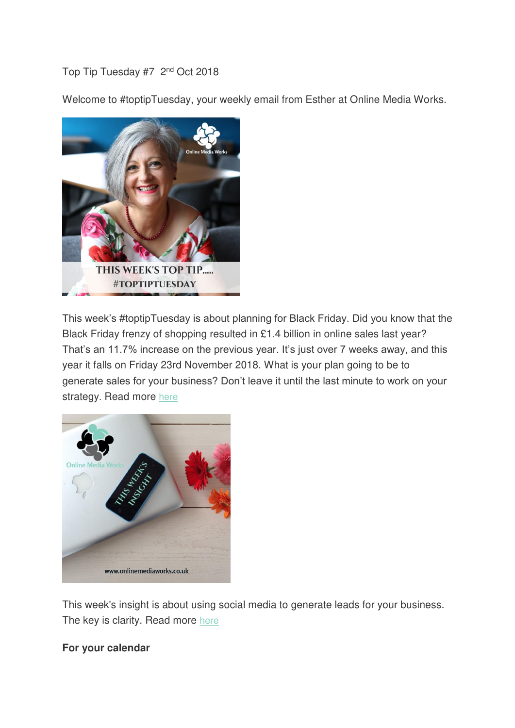Top Tip Tuesday #7 2nd Oct 2018

Welcome to #toptipTuesday, your weekly email from Esther at Online Media Works.



This week's #toptipTuesday is about planning for Black Friday. Did you know that the Black Friday frenzy of shopping resulted in £1.4 billion in online sales last year? That's an 11.7% increase on the previous year. It's just over 7 weeks away, and this year it falls on Friday 23rd November 2018. What is your plan going to be to generate sales for your business? Don't leave it until the last minute to work on your strategy. Read more [here](https://el2.convertkit-mail2.com/c/r8uopr2xnmaohevv03/gri94gp5cwuk3pnzk/aHR0cHM6Ly9vbmxpbmVtZWRpYXdvcmtzLmNvLnVrL3RpcHRvcHR1ZXNkYXktMm5kLW9jdG9iZXItMjAxOC8=)



This week's insight is about using social media to generate leads for your business. The key is clarity. Read more [here](https://el2.convertkit-mail2.com/c/r8uopr2xnmaohevv03/zvtz67ozc7u83w7do/aHR0cHM6Ly9vbmxpbmVtZWRpYXdvcmtzLmNvLnVrL3RoaXMtd2Vla3MtaW5zaWdodC11c2luZy1zb2NpYWwtbWVkaWEtdG8tZ2VuZXJhdGUtbGVhZHMv)

## **For your calendar**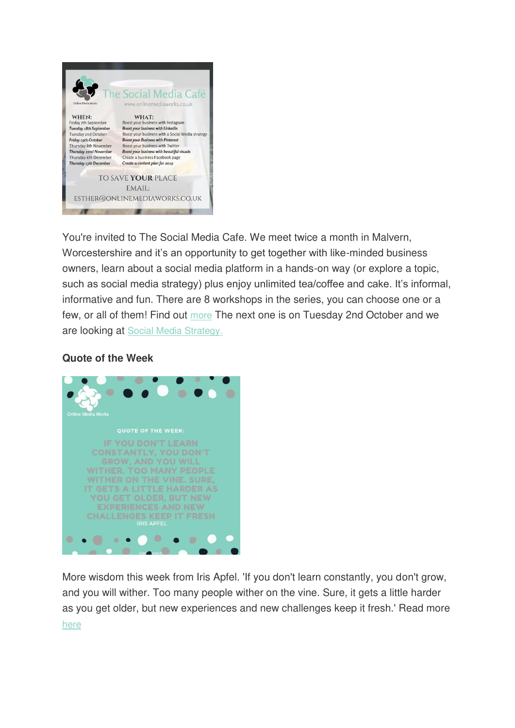

You're invited to The Social Media Cafe. We meet twice a month in Malvern, Worcestershire and it's an opportunity to get together with like-minded business owners, learn about a social media platform in a hands-on way (or explore a topic, such as social media strategy) plus enjoy unlimited tea/coffee and cake. It's informal, informative and fun. There are 8 workshops in the series, you can choose one or a few, or all of them! Find out [more](https://el2.convertkit-mail2.com/c/r8uopr2xnmaohevv03/kga402krc2u3lme9n/aHR0cHM6Ly9vbmxpbmVtZWRpYXdvcmtzLmNvLnVrL3RoZS1zb2NpYWwtbWVkaWEtY2FmZS8=) The next one is on Tuesday 2nd October and we are looking at [Social Media Strategy.](https://el2.convertkit-mail2.com/c/r8uopr2xnmaohevv03/ddb20o8gfmum05k78/aHR0cHM6Ly9hcHAuZXZlbnRzZnJhbWUuY29tL2UvbEczRHhYUmNJL2Jvb3N0LXlvdXItYnVzaW5lc3Mtd2l0aC1hLXNvY2lhbC1tZWRpYS1zdHJhdGVneS90aWNrZXRzLw==)

## **Quote of the Week**



More wisdom this week from Iris Apfel. 'If you don't learn constantly, you don't grow, and you will wither. Too many people wither on the vine. Sure, it gets a little harder as you get older, but new experiences and new challenges keep it fresh.' Read more [here](https://el2.convertkit-mail2.com/c/r8uopr2xnmaohevv03/85unrzp3c3uxl9359/aHR0cHM6Ly9vbmxpbmVtZWRpYXdvcmtzLmNvLnVrL3RoaXMtd2Vla3MtcXVvdGUtb2YtdGhlLXdlZWsv)